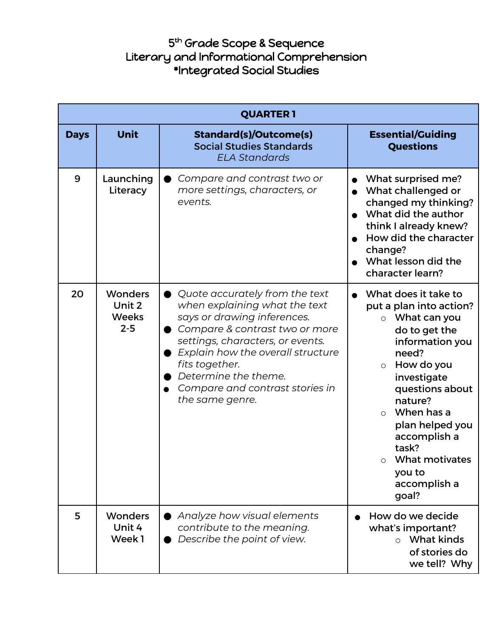## 5<sup>th</sup> Grade Scope & Sequence Literary and Informational Comprehension \*Integrated Social Studies

|             | <b>QUARTER 1</b>                                    |                                                                                                                                                                                                                                                                                                                        |                                                                                                                                                                                                                                                                                                                                 |  |
|-------------|-----------------------------------------------------|------------------------------------------------------------------------------------------------------------------------------------------------------------------------------------------------------------------------------------------------------------------------------------------------------------------------|---------------------------------------------------------------------------------------------------------------------------------------------------------------------------------------------------------------------------------------------------------------------------------------------------------------------------------|--|
| <b>Days</b> | <b>Unit</b>                                         | <b>Standard(s)/Outcome(s)</b><br><b>Social Studies Standards</b><br><b>ELA Standards</b>                                                                                                                                                                                                                               | <b>Essential/Guiding</b><br><b>Questions</b>                                                                                                                                                                                                                                                                                    |  |
| 9           | Launching<br>Literacy                               | Compare and contrast two or<br>more settings, characters, or<br>events.                                                                                                                                                                                                                                                | What surprised me?<br>What challenged or<br>$\bullet$<br>changed my thinking?<br>What did the author<br>think I already knew?<br>How did the character<br>change?<br>What lesson did the<br>character learn?                                                                                                                    |  |
| 20          | <b>Wonders</b><br>Unit 2<br><b>Weeks</b><br>$2 - 5$ | Quote accurately from the text<br>$\bullet$<br>when explaining what the text<br>says or drawing inferences.<br>Compare & contrast two or more<br>settings, characters, or events.<br>Explain how the overall structure<br>fits together.<br>Determine the theme.<br>Compare and contrast stories in<br>the same genre. | What does it take to<br>put a plan into action?<br>$\circ$ What can you<br>do to get the<br>information you<br>need?<br>How do you<br>$\circ$<br>investigate<br>questions about<br>nature?<br>When has a<br>$\circ$<br>plan helped you<br>accomplish a<br>task?<br>What motivates<br>$\circ$<br>you to<br>accomplish a<br>goal? |  |
| 5           | <b>Wonders</b><br>Unit 4<br>Week1                   | Analyze how visual elements<br>contribute to the meaning.<br>Describe the point of view.                                                                                                                                                                                                                               | How do we decide<br>what's important?<br>$\circ$ What kinds<br>of stories do<br>we tell? Why                                                                                                                                                                                                                                    |  |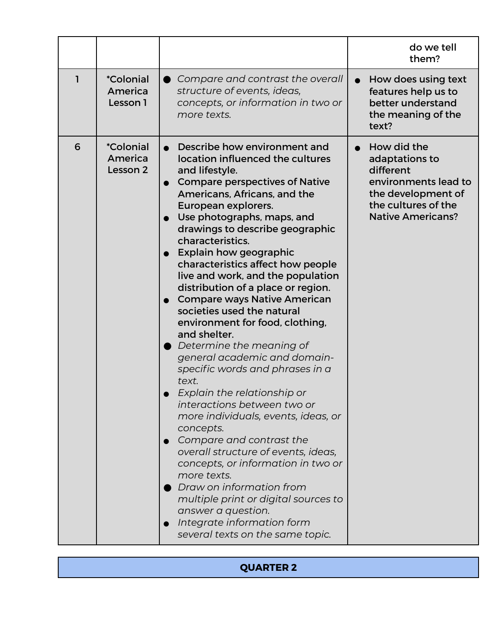|   |                                                |                                                                                                                                                                                                                                                                                                                                                                                                                                                                                                                                                                                                                                                                                                                                                                                                                                                                                                                                                                                                                                                                                | do we tell<br>them?                                                                                                                         |
|---|------------------------------------------------|--------------------------------------------------------------------------------------------------------------------------------------------------------------------------------------------------------------------------------------------------------------------------------------------------------------------------------------------------------------------------------------------------------------------------------------------------------------------------------------------------------------------------------------------------------------------------------------------------------------------------------------------------------------------------------------------------------------------------------------------------------------------------------------------------------------------------------------------------------------------------------------------------------------------------------------------------------------------------------------------------------------------------------------------------------------------------------|---------------------------------------------------------------------------------------------------------------------------------------------|
| 1 | <i><b>*Colonial</b></i><br>America<br>Lesson 1 | Compare and contrast the overall<br>structure of events, ideas,<br>concepts, or information in two or<br>more texts.                                                                                                                                                                                                                                                                                                                                                                                                                                                                                                                                                                                                                                                                                                                                                                                                                                                                                                                                                           | How does using text<br>features help us to<br>better understand<br>the meaning of the<br>text?                                              |
| 6 | <i><b>*Colonial</b></i><br>America<br>Lesson 2 | Describe how environment and<br>location influenced the cultures<br>and lifestyle.<br><b>Compare perspectives of Native</b><br>$\bullet$<br>Americans, Africans, and the<br>European explorers.<br>Use photographs, maps, and<br>drawings to describe geographic<br>characteristics.<br>Explain how geographic<br>characteristics affect how people<br>live and work, and the population<br>distribution of a place or region.<br><b>Compare ways Native American</b><br>societies used the natural<br>environment for food, clothing,<br>and shelter.<br>$\bullet$ Determine the meaning of<br>general academic and domain-<br>specific words and phrases in a<br>text.<br>Explain the relationship or<br>interactions between two or<br>more individuals, events, ideas, or<br>concepts.<br>Compare and contrast the<br>overall structure of events, ideas,<br>concepts, or information in two or<br>more texts.<br>Draw on information from<br>multiple print or digital sources to<br>answer a question.<br>Integrate information form<br>several texts on the same topic. | How did the<br>adaptations to<br>different<br>environments lead to<br>the development of<br>the cultures of the<br><b>Native Americans?</b> |

## **QUARTER 2**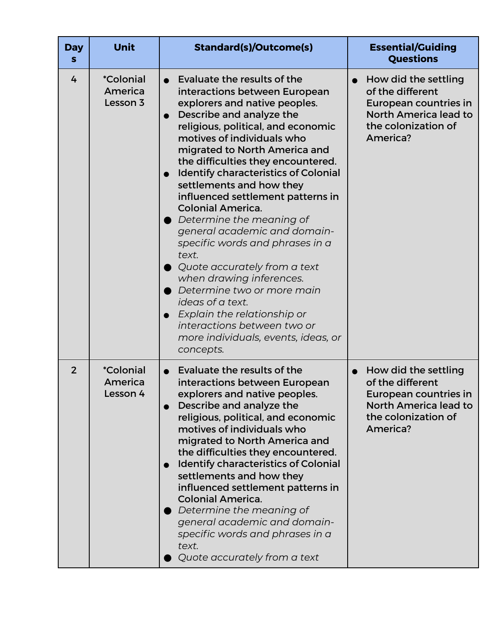| <b>Day</b><br>s | <b>Unit</b>                                    | <b>Standard(s)/Outcome(s)</b>                                                                                                                                                                                                                                                                                                                                                                                                                                                                                                                                                                                                                                                                                                                                                | <b>Essential/Guiding</b><br><b>Questions</b>                                                                                  |
|-----------------|------------------------------------------------|------------------------------------------------------------------------------------------------------------------------------------------------------------------------------------------------------------------------------------------------------------------------------------------------------------------------------------------------------------------------------------------------------------------------------------------------------------------------------------------------------------------------------------------------------------------------------------------------------------------------------------------------------------------------------------------------------------------------------------------------------------------------------|-------------------------------------------------------------------------------------------------------------------------------|
| 4               | <i><b>*Colonial</b></i><br>America<br>Lesson 3 | Evaluate the results of the<br>interactions between European<br>explorers and native peoples.<br>Describe and analyze the<br>religious, political, and economic<br>motives of individuals who<br>migrated to North America and<br>the difficulties they encountered.<br><b>Identify characteristics of Colonial</b><br>settlements and how they<br>influenced settlement patterns in<br><b>Colonial America.</b><br>$\bullet$ Determine the meaning of<br>general academic and domain-<br>specific words and phrases in a<br>text.<br>$\bullet$ Quote accurately from a text<br>when drawing inferences.<br>Determine two or more main<br>ideas of a text.<br>Explain the relationship or<br>interactions between two or<br>more individuals, events, ideas, or<br>concepts. | How did the settling<br>of the different<br>European countries in<br>North America lead to<br>the colonization of<br>America? |
| $\overline{2}$  | <i><b>*Colonial</b></i><br>America<br>Lesson 4 | Evaluate the results of the<br>interactions between European<br>explorers and native peoples.<br>Describe and analyze the<br>religious, political, and economic<br>motives of individuals who<br>migrated to North America and<br>the difficulties they encountered.<br><b>Identify characteristics of Colonial</b><br>settlements and how they<br>influenced settlement patterns in<br><b>Colonial America.</b><br>Determine the meaning of<br>general academic and domain-<br>specific words and phrases in a<br>text.<br>Quote accurately from a text                                                                                                                                                                                                                     | How did the settling<br>of the different<br>European countries in<br>North America lead to<br>the colonization of<br>America? |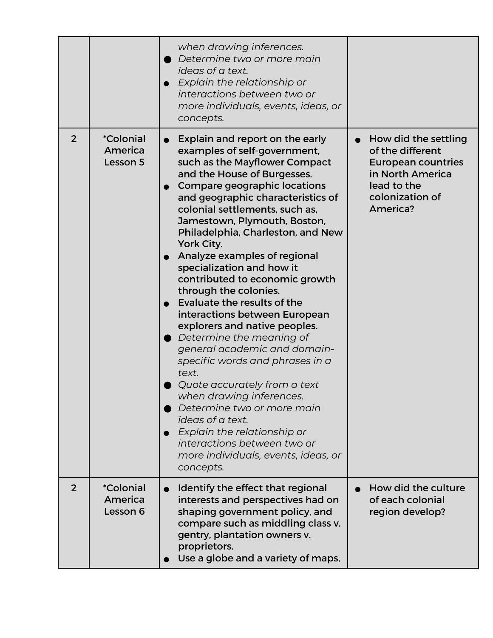|                |                                                | when drawing inferences.<br>Determine two or more main<br>ideas of a text.<br>Explain the relationship or<br>interactions between two or<br>more individuals, events, ideas, or<br>concepts.                                                                                                                                                                                                                                                                                                                                                                                                                                                                                                                                                                                                                                                                                                                      |                                                                                                                                                      |
|----------------|------------------------------------------------|-------------------------------------------------------------------------------------------------------------------------------------------------------------------------------------------------------------------------------------------------------------------------------------------------------------------------------------------------------------------------------------------------------------------------------------------------------------------------------------------------------------------------------------------------------------------------------------------------------------------------------------------------------------------------------------------------------------------------------------------------------------------------------------------------------------------------------------------------------------------------------------------------------------------|------------------------------------------------------------------------------------------------------------------------------------------------------|
| $\overline{2}$ | <i><b>*Colonial</b></i><br>America<br>Lesson 5 | Explain and report on the early<br>$\bullet$<br>examples of self-government,<br>such as the Mayflower Compact<br>and the House of Burgesses.<br>Compare geographic locations<br>and geographic characteristics of<br>colonial settlements, such as,<br>Jamestown, Plymouth, Boston,<br>Philadelphia, Charleston, and New<br>York City.<br>Analyze examples of regional<br>specialization and how it<br>contributed to economic growth<br>through the colonies.<br>Evaluate the results of the<br>interactions between European<br>explorers and native peoples.<br>$\bullet$ Determine the meaning of<br>general academic and domain-<br>specific words and phrases in a<br>text.<br>Quote accurately from a text<br>when drawing inferences.<br>Determine two or more main<br>ideas of a text.<br>Explain the relationship or<br>interactions between two or<br>more individuals, events, ideas, or<br>concepts. | How did the settling<br>$\bullet$<br>of the different<br><b>European countries</b><br>in North America<br>lead to the<br>colonization of<br>America? |
| 2              | <i><b>*Colonial</b></i><br>America<br>Lesson 6 | Identify the effect that regional<br>interests and perspectives had on<br>shaping government policy, and<br>compare such as middling class v.<br>gentry, plantation owners v.<br>proprietors.<br>Use a globe and a variety of maps,                                                                                                                                                                                                                                                                                                                                                                                                                                                                                                                                                                                                                                                                               | How did the culture<br>of each colonial<br>region develop?                                                                                           |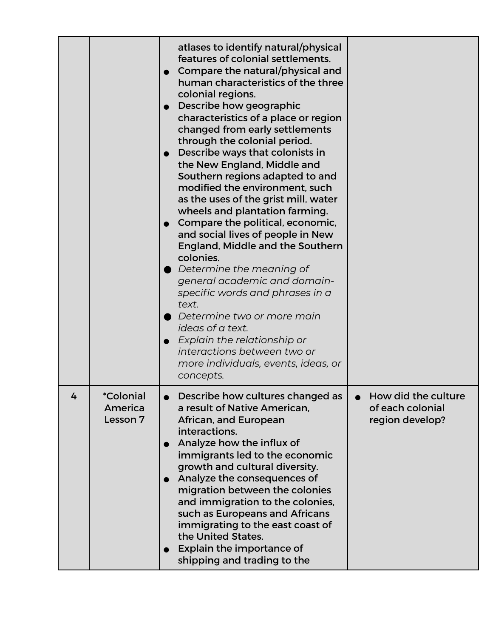|              |                                                | atlases to identify natural/physical<br>features of colonial settlements.<br>Compare the natural/physical and<br>human characteristics of the three<br>colonial regions.<br>Describe how geographic<br>characteristics of a place or region<br>changed from early settlements<br>through the colonial period.<br>Describe ways that colonists in<br>the New England, Middle and<br>Southern regions adapted to and<br>modified the environment, such<br>as the uses of the grist mill, water<br>wheels and plantation farming.<br>Compare the political, economic,<br>and social lives of people in New<br>England, Middle and the Southern<br>colonies.<br>Determine the meaning of<br>general academic and domain-<br>specific words and phrases in a<br>text.<br>Determine two or more main<br>ideas of a text.<br>Explain the relationship or<br>interactions between two or<br>more individuals, events, ideas, or<br>concepts. |                                                            |
|--------------|------------------------------------------------|--------------------------------------------------------------------------------------------------------------------------------------------------------------------------------------------------------------------------------------------------------------------------------------------------------------------------------------------------------------------------------------------------------------------------------------------------------------------------------------------------------------------------------------------------------------------------------------------------------------------------------------------------------------------------------------------------------------------------------------------------------------------------------------------------------------------------------------------------------------------------------------------------------------------------------------|------------------------------------------------------------|
| $\mathbf{r}$ | <i><b>*Colonial</b></i><br>America<br>Lesson 7 | Describe how cultures changed as<br>a result of Native American.<br>African, and European<br>interactions.<br>Analyze how the influx of<br>immigrants led to the economic<br>growth and cultural diversity.<br>Analyze the consequences of<br>migration between the colonies<br>and immigration to the colonies,<br>such as Europeans and Africans<br>immigrating to the east coast of<br>the United States.<br>Explain the importance of<br>shipping and trading to the                                                                                                                                                                                                                                                                                                                                                                                                                                                             | How did the culture<br>of each colonial<br>region develop? |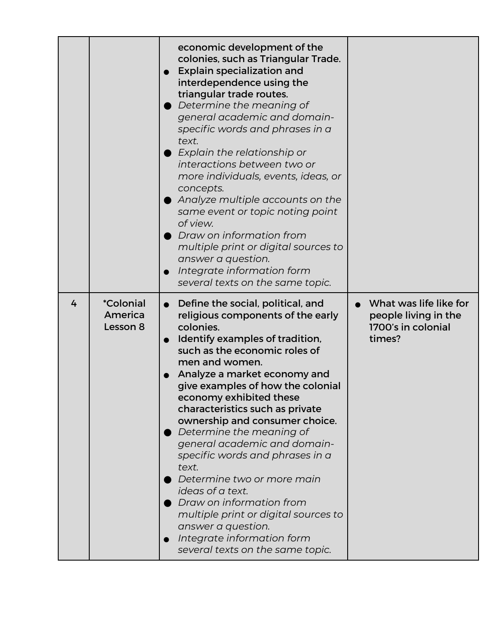|   |                                                | economic development of the<br>colonies, such as Triangular Trade.<br><b>Explain specialization and</b><br>$\bullet$<br>interdependence using the<br>triangular trade routes.<br>Determine the meaning of<br>general academic and domain-<br>specific words and phrases in a<br>text.<br>Explain the relationship or<br>interactions between two or<br>more individuals, events, ideas, or<br>concepts.<br>Analyze multiple accounts on the<br>same event or topic noting point<br>of view.<br>Draw on information from<br>multiple print or digital sources to<br>answer a question.<br>Integrate information form<br>several texts on the same topic.                                        |                                                                                |
|---|------------------------------------------------|------------------------------------------------------------------------------------------------------------------------------------------------------------------------------------------------------------------------------------------------------------------------------------------------------------------------------------------------------------------------------------------------------------------------------------------------------------------------------------------------------------------------------------------------------------------------------------------------------------------------------------------------------------------------------------------------|--------------------------------------------------------------------------------|
| 4 | <i><b>*Colonial</b></i><br>America<br>Lesson 8 | Define the social, political, and<br>$\bullet$<br>religious components of the early<br>colonies.<br>Identify examples of tradition,<br>$\bullet$<br>such as the economic roles of<br>men and women.<br>Analyze a market economy and<br>give examples of how the colonial<br>economy exhibited these<br>characteristics such as private<br>ownership and consumer choice.<br>Determine the meaning of<br>general academic and domain-<br>specific words and phrases in a<br>text.<br>Determine two or more main<br>ideas of a text.<br>Draw on information from<br>multiple print or digital sources to<br>answer a question.<br>Integrate information form<br>several texts on the same topic. | What was life like for<br>people living in the<br>1700's in colonial<br>times? |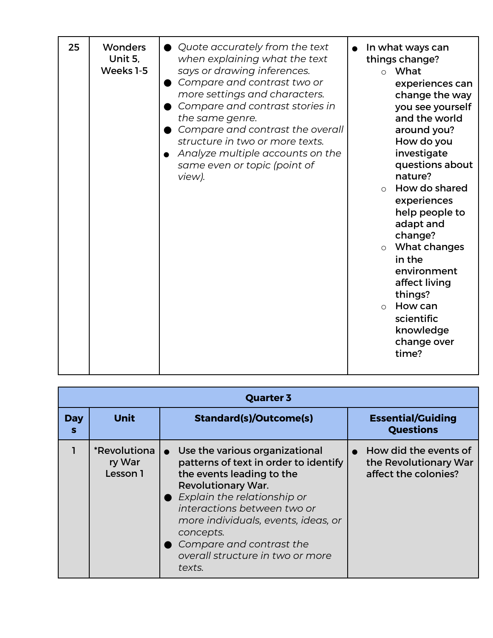| 25 | <b>Wonders</b><br>Unit 5,<br>Weeks 1-5 | • Quote accurately from the text<br>when explaining what the text<br>says or drawing inferences.<br>Compare and contrast two or<br>more settings and characters.<br>Compare and contrast stories in<br>the same genre.<br>Compare and contrast the overall<br>structure in two or more texts.<br>Analyze multiple accounts on the<br>same even or topic (point of<br>view). | In what ways can<br>things change?<br>$\circ$ What<br>experiences can<br>change the way<br>you see yourself<br>and the world<br>around you?<br>How do you<br>investigate<br>questions about<br>nature?<br>How do shared<br>$\bigcap$<br>experiences<br>help people to<br>adapt and<br>change?<br>What changes<br>$\circ$<br>in the<br>environment<br>affect living<br>things?<br>How can<br>$\Omega$<br>scientific<br>knowledge<br>change over<br>time? |
|----|----------------------------------------|-----------------------------------------------------------------------------------------------------------------------------------------------------------------------------------------------------------------------------------------------------------------------------------------------------------------------------------------------------------------------------|---------------------------------------------------------------------------------------------------------------------------------------------------------------------------------------------------------------------------------------------------------------------------------------------------------------------------------------------------------------------------------------------------------------------------------------------------------|
|----|----------------------------------------|-----------------------------------------------------------------------------------------------------------------------------------------------------------------------------------------------------------------------------------------------------------------------------------------------------------------------------------------------------------------------------|---------------------------------------------------------------------------------------------------------------------------------------------------------------------------------------------------------------------------------------------------------------------------------------------------------------------------------------------------------------------------------------------------------------------------------------------------------|

| <b>Quarter 3</b> |                                                  |                                                                                                                                                                                                                                                                                                                                           |                                                                        |
|------------------|--------------------------------------------------|-------------------------------------------------------------------------------------------------------------------------------------------------------------------------------------------------------------------------------------------------------------------------------------------------------------------------------------------|------------------------------------------------------------------------|
| <b>Day</b><br>S  | <b>Unit</b>                                      | <b>Standard(s)/Outcome(s)</b>                                                                                                                                                                                                                                                                                                             | <b>Essential/Guiding</b><br><b>Questions</b>                           |
|                  | <i><b>*Revolutiona</b></i><br>ry War<br>Lesson 1 | • Use the various organizational<br>patterns of text in order to identify<br>the events leading to the<br><b>Revolutionary War.</b><br>$\bullet$ Explain the relationship or<br>interactions between two or<br>more individuals, events, ideas, or<br>concepts.<br>Compare and contrast the<br>overall structure in two or more<br>texts. | How did the events of<br>the Revolutionary War<br>affect the colonies? |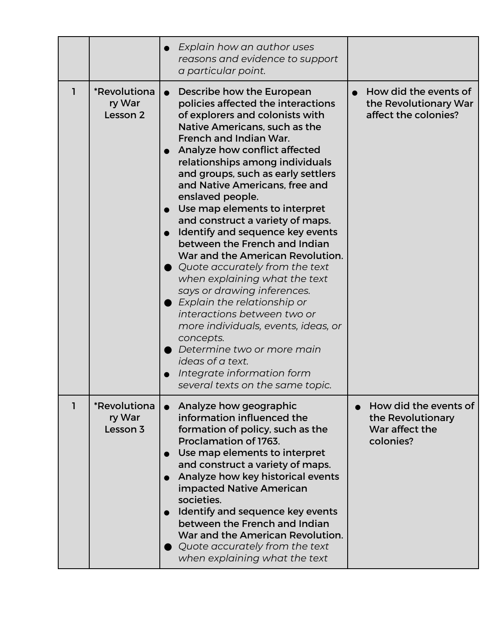|   |                                    | Explain how an author uses<br>reasons and evidence to support<br>a particular point.                                                                                                                                                                                                                                                                                                                                                                                                                                                                                                                                                                                                                                                                                                                                                                                    |                                                                           |
|---|------------------------------------|-------------------------------------------------------------------------------------------------------------------------------------------------------------------------------------------------------------------------------------------------------------------------------------------------------------------------------------------------------------------------------------------------------------------------------------------------------------------------------------------------------------------------------------------------------------------------------------------------------------------------------------------------------------------------------------------------------------------------------------------------------------------------------------------------------------------------------------------------------------------------|---------------------------------------------------------------------------|
| 1 | *Revolutiona<br>ry War<br>Lesson 2 | Describe how the European<br>policies affected the interactions<br>of explorers and colonists with<br>Native Americans, such as the<br>French and Indian War.<br>Analyze how conflict affected<br>relationships among individuals<br>and groups, such as early settlers<br>and Native Americans, free and<br>enslaved people.<br>Use map elements to interpret<br>and construct a variety of maps.<br>Identify and sequence key events<br>between the French and Indian<br>War and the American Revolution.<br>$\bullet$ Quote accurately from the text<br>when explaining what the text<br>says or drawing inferences.<br>$\bullet$ Explain the relationship or<br>interactions between two or<br>more individuals, events, ideas, or<br>concepts.<br>Determine two or more main<br>ideas of a text.<br>Integrate information form<br>several texts on the same topic. | How did the events of<br>the Revolutionary War<br>affect the colonies?    |
|   | *Revolutiona<br>ry War<br>Lesson 3 | Analyze how geographic<br>information influenced the<br>formation of policy, such as the<br>Proclamation of 1763.<br>Use map elements to interpret<br>$\bullet$<br>and construct a variety of maps.<br>Analyze how key historical events<br>impacted Native American<br>societies.<br>Identify and sequence key events<br>$\bullet$<br>between the French and Indian<br>War and the American Revolution.<br>$\bullet$ Quote accurately from the text<br>when explaining what the text                                                                                                                                                                                                                                                                                                                                                                                   | How did the events of<br>the Revolutionary<br>War affect the<br>colonies? |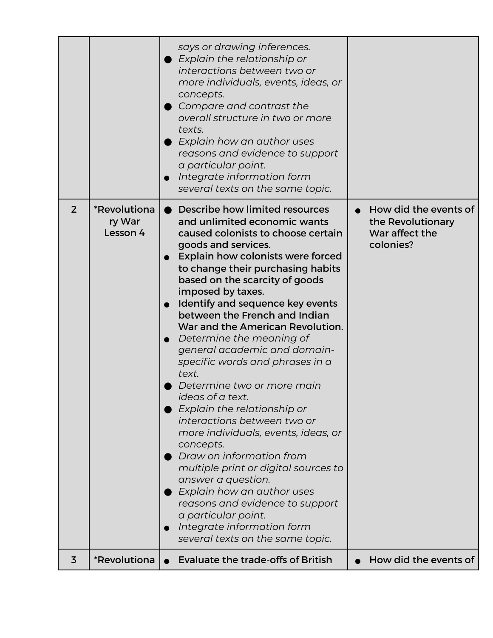|                |                                                  | says or drawing inferences.<br>$\bullet$ Explain the relationship or<br>interactions between two or                                                                                                                                                                                                                                                                                                                                                                                                                                                                                                                                                                                                                                                                                                                                          |                                                                           |
|----------------|--------------------------------------------------|----------------------------------------------------------------------------------------------------------------------------------------------------------------------------------------------------------------------------------------------------------------------------------------------------------------------------------------------------------------------------------------------------------------------------------------------------------------------------------------------------------------------------------------------------------------------------------------------------------------------------------------------------------------------------------------------------------------------------------------------------------------------------------------------------------------------------------------------|---------------------------------------------------------------------------|
|                |                                                  | more individuals, events, ideas, or<br>concepts.<br>Compare and contrast the<br>overall structure in two or more<br>texts.<br>Explain how an author uses<br>reasons and evidence to support<br>a particular point.<br>Integrate information form<br>$\bullet$<br>several texts on the same topic.                                                                                                                                                                                                                                                                                                                                                                                                                                                                                                                                            |                                                                           |
| $\overline{2}$ | <i><b>*Revolutiona</b></i><br>ry War<br>Lesson 4 | • Describe how limited resources<br>and unlimited economic wants<br>caused colonists to choose certain<br>goods and services.<br><b>Explain how colonists were forced</b><br>to change their purchasing habits<br>based on the scarcity of goods<br>imposed by taxes.<br>Identify and sequence key events<br>between the French and Indian<br>War and the American Revolution.<br>Determine the meaning of<br>general academic and domain-<br>specific words and phrases in a<br>text.<br>Determine two or more main<br>ideas of a text.<br>Explain the relationship or<br>interactions between two or<br>more individuals, events, ideas, or<br>concepts.<br>Draw on information from<br>multiple print or digital sources to<br>answer a question.<br>Explain how an author uses<br>reasons and evidence to support<br>a particular point. | How did the events of<br>the Revolutionary<br>War affect the<br>colonies? |
|                |                                                  | Integrate information form<br>several texts on the same topic.                                                                                                                                                                                                                                                                                                                                                                                                                                                                                                                                                                                                                                                                                                                                                                               |                                                                           |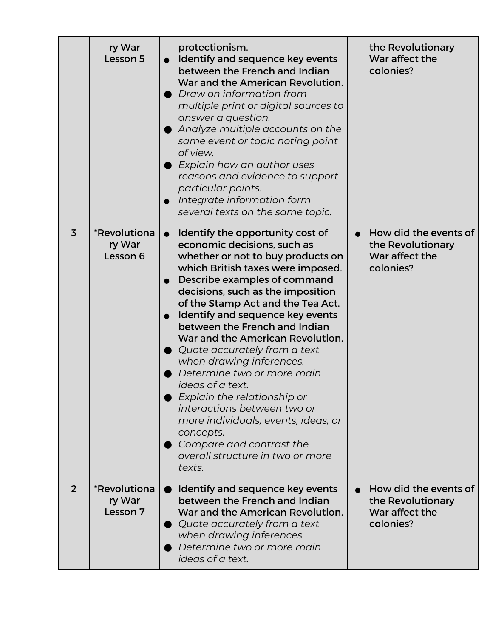|                | ry War<br>Lesson 5                               | protectionism.<br>Identify and sequence key events<br>between the French and Indian<br>War and the American Revolution.<br>Draw on information from<br>multiple print or digital sources to<br>answer a question.<br>Analyze multiple accounts on the<br>same event or topic noting point<br>of view.<br>Explain how an author uses<br>reasons and evidence to support<br>particular points.<br>Integrate information form<br>several texts on the same topic.                                                                                                                                                                                                                   | the Revolutionary<br>War affect the<br>colonies?                          |
|----------------|--------------------------------------------------|----------------------------------------------------------------------------------------------------------------------------------------------------------------------------------------------------------------------------------------------------------------------------------------------------------------------------------------------------------------------------------------------------------------------------------------------------------------------------------------------------------------------------------------------------------------------------------------------------------------------------------------------------------------------------------|---------------------------------------------------------------------------|
| $\overline{3}$ | *Revolutiona<br>ry War<br>Lesson 6               | Identify the opportunity cost of<br>economic decisions, such as<br>whether or not to buy products on<br>which British taxes were imposed.<br>Describe examples of command<br>decisions, such as the imposition<br>of the Stamp Act and the Tea Act.<br>Identify and sequence key events<br>between the French and Indian<br>War and the American Revolution.<br>Quote accurately from a text<br>when drawing inferences.<br>Determine two or more main<br>ideas of a text.<br>$\bullet$ Explain the relationship or<br>interactions between two or<br>more individuals, events, ideas, or<br>concepts.<br>Compare and contrast the<br>overall structure in two or more<br>texts. | How did the events of<br>the Revolutionary<br>War affect the<br>colonies? |
| $\overline{2}$ | <i><b>*Revolutiona</b></i><br>ry War<br>Lesson 7 | Identify and sequence key events<br>between the French and Indian<br>War and the American Revolution.<br>$\bullet$ Quote accurately from a text<br>when drawing inferences.<br>Determine two or more main<br>ideas of a text.                                                                                                                                                                                                                                                                                                                                                                                                                                                    | How did the events of<br>the Revolutionary<br>War affect the<br>colonies? |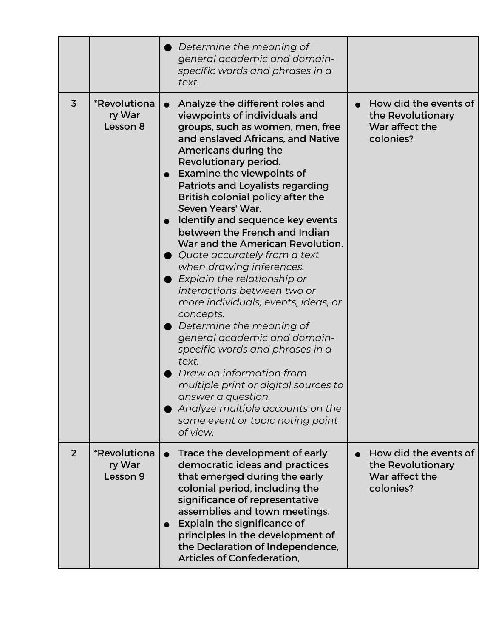|                |                                                  | $\bullet$ Determine the meaning of<br>general academic and domain-<br>specific words and phrases in a<br>text.                                                                                                                                                                                                                                                                                                                                                                                                                                                                                                                                                                                                                                                                                                                                                                                                                                 |                                                                           |
|----------------|--------------------------------------------------|------------------------------------------------------------------------------------------------------------------------------------------------------------------------------------------------------------------------------------------------------------------------------------------------------------------------------------------------------------------------------------------------------------------------------------------------------------------------------------------------------------------------------------------------------------------------------------------------------------------------------------------------------------------------------------------------------------------------------------------------------------------------------------------------------------------------------------------------------------------------------------------------------------------------------------------------|---------------------------------------------------------------------------|
| $\overline{3}$ | <i><b>*Revolutiona</b></i><br>ry War<br>Lesson 8 | Analyze the different roles and<br>viewpoints of individuals and<br>groups, such as women, men, free<br>and enslaved Africans, and Native<br>Americans during the<br>Revolutionary period.<br><b>Examine the viewpoints of</b><br><b>Patriots and Loyalists regarding</b><br>British colonial policy after the<br>Seven Years' War.<br>Identify and sequence key events<br>between the French and Indian<br>War and the American Revolution.<br>$\bullet$ Quote accurately from a text<br>when drawing inferences.<br>$\bullet$ Explain the relationship or<br>interactions between two or<br>more individuals, events, ideas, or<br>concepts.<br>$\bullet$ Determine the meaning of<br>general academic and domain-<br>specific words and phrases in a<br>text.<br>Draw on information from<br>multiple print or digital sources to<br>answer a question.<br>Analyze multiple accounts on the<br>same event or topic noting point<br>of view. | How did the events of<br>the Revolutionary<br>War affect the<br>colonies? |
| $\overline{2}$ | <i><b>*Revolutiona</b></i><br>ry War<br>Lesson 9 | Trace the development of early<br>democratic ideas and practices<br>that emerged during the early<br>colonial period, including the<br>significance of representative<br>assemblies and town meetings.<br>Explain the significance of<br>principles in the development of<br>the Declaration of Independence,<br><b>Articles of Confederation.</b>                                                                                                                                                                                                                                                                                                                                                                                                                                                                                                                                                                                             | How did the events of<br>the Revolutionary<br>War affect the<br>colonies? |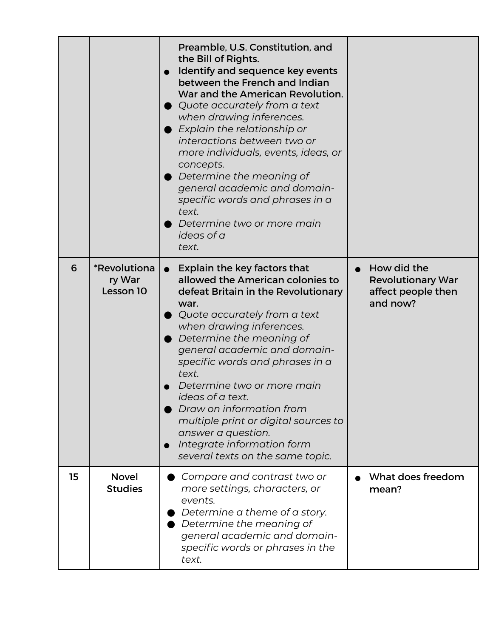|    |                                     | Preamble, U.S. Constitution, and<br>the Bill of Rights.<br>Identify and sequence key events<br>between the French and Indian<br>War and the American Revolution.<br>$\bullet$ Quote accurately from a text<br>when drawing inferences.<br>Explain the relationship or<br>interactions between two or<br>more individuals, events, ideas, or<br>concepts.<br>Determine the meaning of<br>general academic and domain-<br>specific words and phrases in a<br>text.<br>Determine two or more main<br>ideas of a<br>text. |                                                                                        |
|----|-------------------------------------|-----------------------------------------------------------------------------------------------------------------------------------------------------------------------------------------------------------------------------------------------------------------------------------------------------------------------------------------------------------------------------------------------------------------------------------------------------------------------------------------------------------------------|----------------------------------------------------------------------------------------|
| 6  | *Revolutiona<br>ry War<br>Lesson 10 | Explain the key factors that<br>$\bullet$<br>allowed the American colonies to<br>defeat Britain in the Revolutionary<br>war.<br>Quote accurately from a text<br>when drawing inferences.<br>Determine the meaning of<br>general academic and domain-<br>specific words and phrases in a<br>text.<br>Determine two or more main<br>ideas of a text.<br>Draw on information from<br>multiple print or digital sources to<br>answer a question.<br>Integrate information form<br>several texts on the same topic.        | How did the<br>$\bullet$<br><b>Revolutionary War</b><br>affect people then<br>and now? |
| 15 | <b>Novel</b><br><b>Studies</b>      | Compare and contrast two or<br>more settings, characters, or<br>events.<br>Determine a theme of a story.<br>Determine the meaning of<br>general academic and domain-<br>specific words or phrases in the<br>text.                                                                                                                                                                                                                                                                                                     | What does freedom<br>mean?                                                             |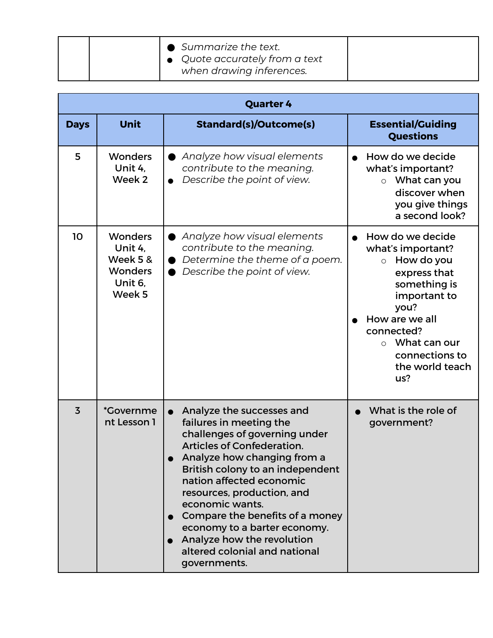|  | $\bullet$ Summarize the text.<br>$\bullet$ Quote accurately from a text |
|--|-------------------------------------------------------------------------|
|  | when drawing inferences.                                                |

| <b>Quarter 4</b> |                                                                              |                                                                                                                                                                                                                                                                                                                                                                                                                              |                                                                                                                                                                                                                            |
|------------------|------------------------------------------------------------------------------|------------------------------------------------------------------------------------------------------------------------------------------------------------------------------------------------------------------------------------------------------------------------------------------------------------------------------------------------------------------------------------------------------------------------------|----------------------------------------------------------------------------------------------------------------------------------------------------------------------------------------------------------------------------|
| <b>Days</b>      | <b>Unit</b>                                                                  | <b>Standard(s)/Outcome(s)</b>                                                                                                                                                                                                                                                                                                                                                                                                | <b>Essential/Guiding</b><br><b>Questions</b>                                                                                                                                                                               |
| 5                | <b>Wonders</b><br>Unit 4,<br>Week 2                                          | Analyze how visual elements<br>contribute to the meaning.<br>Describe the point of view.                                                                                                                                                                                                                                                                                                                                     | How do we decide<br>what's important?<br>What can you<br>$\circ$<br>discover when<br>you give things<br>a second look?                                                                                                     |
| 10               | <b>Wonders</b><br>Unit 4.<br>Week 5 &<br><b>Wonders</b><br>Unit 6,<br>Week 5 | Analyze how visual elements<br>contribute to the meaning.<br>Determine the theme of a poem.<br>Describe the point of view.                                                                                                                                                                                                                                                                                                   | How do we decide<br>what's important?<br>How do you<br>$\circ$<br>express that<br>something is<br>important to<br>you?<br>How are we all<br>connected?<br>$\circ$ What can our<br>connections to<br>the world teach<br>us? |
| $\overline{3}$   | <i>*Governme</i><br>nt Lesson 1                                              | Analyze the successes and<br>failures in meeting the<br>challenges of governing under<br><b>Articles of Confederation.</b><br>Analyze how changing from a<br>British colony to an independent<br>nation affected economic<br>resources, production, and<br>economic wants.<br>Compare the benefits of a money<br>economy to a barter economy.<br>Analyze how the revolution<br>altered colonial and national<br>governments. | What is the role of<br>government?                                                                                                                                                                                         |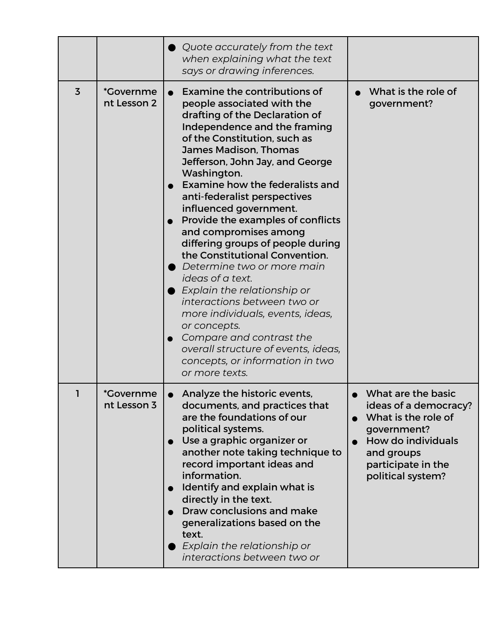|                |                                        | Quote accurately from the text<br>when explaining what the text<br>says or drawing inferences.                                                                                                                                                                                                                                                                                                                                                                                                                                                                                                                                                                                                                                                                        |                                                                                                                                                                  |
|----------------|----------------------------------------|-----------------------------------------------------------------------------------------------------------------------------------------------------------------------------------------------------------------------------------------------------------------------------------------------------------------------------------------------------------------------------------------------------------------------------------------------------------------------------------------------------------------------------------------------------------------------------------------------------------------------------------------------------------------------------------------------------------------------------------------------------------------------|------------------------------------------------------------------------------------------------------------------------------------------------------------------|
| $\overline{3}$ | <i><b>*Governme</b></i><br>nt Lesson 2 | Examine the contributions of<br>people associated with the<br>drafting of the Declaration of<br>Independence and the framing<br>of the Constitution, such as<br>James Madison, Thomas<br>Jefferson, John Jay, and George<br>Washington.<br>Examine how the federalists and<br>anti-federalist perspectives<br>influenced government.<br>Provide the examples of conflicts<br>and compromises among<br>differing groups of people during<br>the Constitutional Convention.<br>Determine two or more main<br>ideas of a text.<br>Explain the relationship or<br>interactions between two or<br>more individuals, events, ideas,<br>or concepts.<br>Compare and contrast the<br>overall structure of events, ideas,<br>concepts, or information in two<br>or more texts. | What is the role of<br>government?                                                                                                                               |
|                | *Governme<br>nt Lesson 3               | Analyze the historic events,<br>documents, and practices that<br>are the foundations of our<br>political systems.<br>Use a graphic organizer or<br>another note taking technique to<br>record important ideas and<br>information.<br>Identify and explain what is<br>directly in the text.<br>Draw conclusions and make<br>generalizations based on the<br>text.<br>Explain the relationship or<br>interactions between two or                                                                                                                                                                                                                                                                                                                                        | What are the basic<br>ideas of a democracy?<br>What is the role of<br>government?<br>How do individuals<br>and groups<br>participate in the<br>political system? |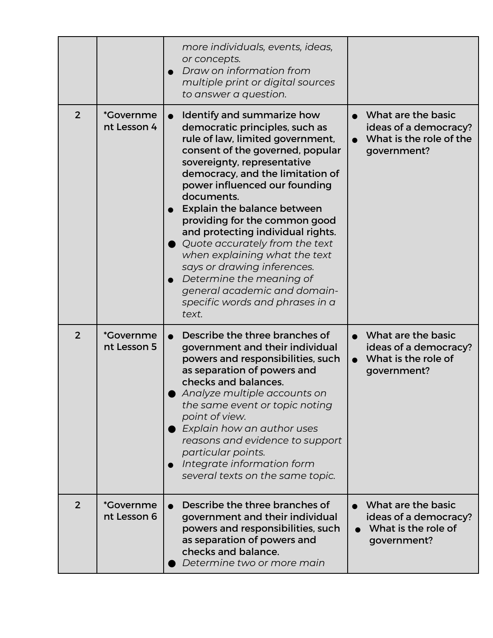|                |                                        | more individuals, events, ideas,<br>or concepts.<br>Draw on information from<br>multiple print or digital sources                                                                                                                                                                                                                                                                                                                                                                                                                                                                  |                                                                                       |
|----------------|----------------------------------------|------------------------------------------------------------------------------------------------------------------------------------------------------------------------------------------------------------------------------------------------------------------------------------------------------------------------------------------------------------------------------------------------------------------------------------------------------------------------------------------------------------------------------------------------------------------------------------|---------------------------------------------------------------------------------------|
|                |                                        | to answer a question.                                                                                                                                                                                                                                                                                                                                                                                                                                                                                                                                                              |                                                                                       |
| $\overline{2}$ | <i>*Governme</i><br>nt Lesson 4        | Identify and summarize how<br>$\bullet$<br>democratic principles, such as<br>rule of law, limited government,<br>consent of the governed, popular<br>sovereignty, representative<br>democracy, and the limitation of<br>power influenced our founding<br>documents.<br>Explain the balance between<br>providing for the common good<br>and protecting individual rights.<br>Quote accurately from the text<br>when explaining what the text<br>says or drawing inferences.<br>Determine the meaning of<br>general academic and domain-<br>specific words and phrases in a<br>text. | What are the basic<br>ideas of a democracy?<br>What is the role of the<br>government? |
| $\overline{2}$ | <i><b>*Governme</b></i><br>nt Lesson 5 | Describe the three branches of<br>government and their individual<br>powers and responsibilities, such<br>as separation of powers and<br>checks and balances.<br>Analyze multiple accounts on<br>the same event or topic noting<br>point of view.<br>Explain how an author uses<br>reasons and evidence to support<br>particular points.<br>Integrate information form<br>several texts on the same topic.                                                                                                                                                                         | What are the basic<br>ideas of a democracy?<br>What is the role of<br>government?     |
| $\overline{2}$ | <i>*Governme</i><br>nt Lesson 6        | Describe the three branches of<br>government and their individual<br>powers and responsibilities, such<br>as separation of powers and<br>checks and balance.<br>Determine two or more main                                                                                                                                                                                                                                                                                                                                                                                         | What are the basic<br>ideas of a democracy?<br>What is the role of<br>government?     |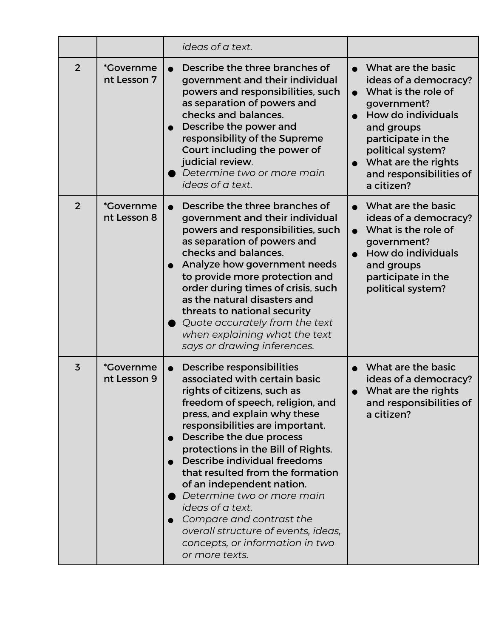|                |                                  | ideas of a text.                                                                                                                                                                                                                                                                                                                                                                                                                                                                                                                                           |                                                                                                                                                                                                                                  |
|----------------|----------------------------------|------------------------------------------------------------------------------------------------------------------------------------------------------------------------------------------------------------------------------------------------------------------------------------------------------------------------------------------------------------------------------------------------------------------------------------------------------------------------------------------------------------------------------------------------------------|----------------------------------------------------------------------------------------------------------------------------------------------------------------------------------------------------------------------------------|
| $\overline{2}$ | <i>*</i> Governme<br>nt Lesson 7 | Describe the three branches of<br>government and their individual<br>powers and responsibilities, such<br>as separation of powers and<br>checks and balances.<br>Describe the power and<br>responsibility of the Supreme<br>Court including the power of<br>judicial review.<br>Determine two or more main<br>ideas of a text.                                                                                                                                                                                                                             | What are the basic<br>ideas of a democracy?<br>What is the role of<br>government?<br>How do individuals<br>and groups<br>participate in the<br>political system?<br>What are the rights<br>and responsibilities of<br>a citizen? |
| $\overline{2}$ | <i>*Governme</i><br>nt Lesson 8  | Describe the three branches of<br>government and their individual<br>powers and responsibilities, such<br>as separation of powers and<br>checks and balances.<br>Analyze how government needs<br>to provide more protection and<br>order during times of crisis, such<br>as the natural disasters and<br>threats to national security<br>Quote accurately from the text<br>when explaining what the text<br>says or drawing inferences.                                                                                                                    | What are the basic<br>ideas of a democracy?<br>What is the role of<br>government?<br>How do individuals<br>and groups<br>participate in the<br>political system?                                                                 |
| $\overline{3}$ | <i>*Governme</i><br>nt Lesson 9  | Describe responsibilities<br>$\bullet$<br>associated with certain basic<br>rights of citizens, such as<br>freedom of speech, religion, and<br>press, and explain why these<br>responsibilities are important.<br>Describe the due process<br>protections in the Bill of Rights.<br>Describe individual freedoms<br>that resulted from the formation<br>of an independent nation.<br>Determine two or more main<br>ideas of a text.<br>Compare and contrast the<br>overall structure of events, ideas,<br>concepts, or information in two<br>or more texts. | What are the basic<br>ideas of a democracy?<br>What are the rights<br>and responsibilities of<br>a citizen?                                                                                                                      |